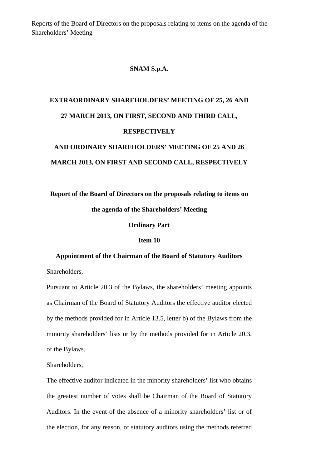Reports of the Board of Directors on the proposals relating to items on the agenda of the Shareholders' Meeting

#### **SNAM S.p.A.**

### **EXTRAORDINARY SHAREHOLDERS' MEETING OF 25, 26 AND 27 MARCH 2013, ON FIRST, SECOND AND THIRD CALL, RESPECTIVELY AND ORDINARY SHAREHOLDERS' MEETING OF 25 AND 26**

# **MARCH 2013, ON FIRST AND SECOND CALL, RESPECTIVELY**

## **Report of the Board of Directors on the proposals relating to items on**

#### **the agenda of the Shareholders' Meeting**

#### **Ordinary Part**

#### **Item 10**

#### **Appointment of the Chairman of the Board of Statutory Auditors**

Shareholders,

Pursuant to Article 20.3 of the Bylaws, the shareholders' meeting appoints as Chairman of the Board of Statutory Auditors the effective auditor elected by the methods provided for in Article 13.5, letter b) of the Bylaws from the minority shareholders' lists or by the methods provided for in Article 20.3, of the Bylaws.

Shareholders,

The effective auditor indicated in the minority shareholders' list who obtains the greatest number of votes shall be Chairman of the Board of Statutory Auditors. In the event of the absence of a minority shareholders' list or of the election, for any reason, of statutory auditors using the methods referred